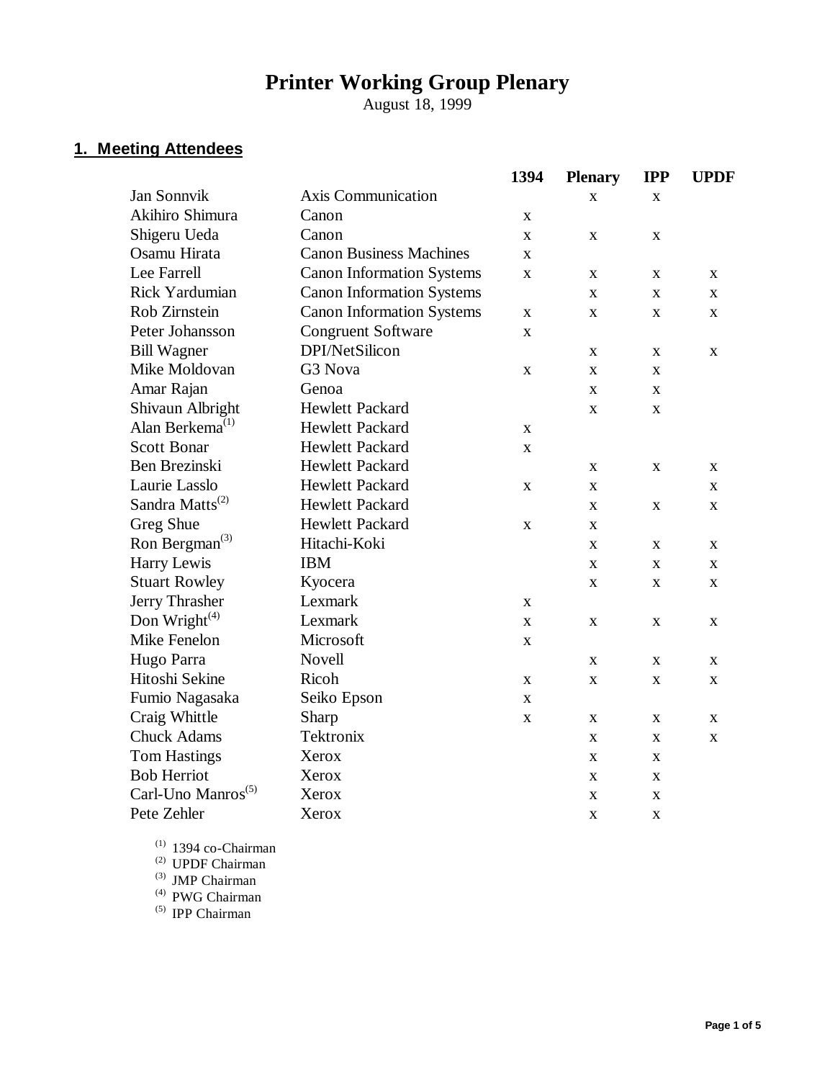# **Printer Working Group Plenary**

August 18, 1999

## **1. Meeting Attendees**

|                                |                                  | 1394         | <b>Plenary</b> | <b>IPP</b>  | <b>UPDF</b> |
|--------------------------------|----------------------------------|--------------|----------------|-------------|-------------|
| <b>Jan Sonnvik</b>             | <b>Axis Communication</b>        |              | $\mathbf{x}$   | X           |             |
| Akihiro Shimura                | Canon                            | X            |                |             |             |
| Shigeru Ueda                   | Canon                            | X            | $\mathbf{X}$   | X           |             |
| Osamu Hirata                   | <b>Canon Business Machines</b>   | $\mathbf{X}$ |                |             |             |
| Lee Farrell                    | <b>Canon Information Systems</b> | $\mathbf X$  | X              | X           | X           |
| Rick Yardumian                 | <b>Canon Information Systems</b> |              | $\mathbf{X}$   | X           | $\mathbf X$ |
| Rob Zirnstein                  | <b>Canon Information Systems</b> | $\mathbf{X}$ | $\mathbf{X}$   | $\mathbf X$ | $\mathbf X$ |
| Peter Johansson                | <b>Congruent Software</b>        | $\mathbf{X}$ |                |             |             |
| <b>Bill Wagner</b>             | DPI/NetSilicon                   |              | $\mathbf{X}$   | X           | $\mathbf X$ |
| Mike Moldovan                  | G3 Nova                          | $\mathbf X$  | $\mathbf X$    | X           |             |
| Amar Rajan                     | Genoa                            |              | $\mathbf{X}$   | X           |             |
| Shivaun Albright               | <b>Hewlett Packard</b>           |              | X              | X           |             |
| Alan Berkema <sup>(1)</sup>    | <b>Hewlett Packard</b>           | $\mathbf X$  |                |             |             |
| <b>Scott Bonar</b>             | <b>Hewlett Packard</b>           | $\mathbf X$  |                |             |             |
| Ben Brezinski                  | <b>Hewlett Packard</b>           |              | $\mathbf{X}$   | $\mathbf X$ | $\mathbf X$ |
| Laurie Lasslo                  | <b>Hewlett Packard</b>           | $\mathbf X$  | $\mathbf X$    |             | X           |
| Sandra Matts <sup>(2)</sup>    | <b>Hewlett Packard</b>           |              | $\mathbf X$    | X           | $\mathbf X$ |
| Greg Shue                      | Hewlett Packard                  | $\mathbf X$  | $\mathbf X$    |             |             |
| Ron Bergman <sup>(3)</sup>     | Hitachi-Koki                     |              | X              | X           | X           |
| Harry Lewis                    | <b>IBM</b>                       |              | $\mathbf{X}$   | X           | $\mathbf X$ |
| <b>Stuart Rowley</b>           | Kyocera                          |              | $\mathbf{X}$   | X           | $\mathbf X$ |
| Jerry Thrasher                 | Lexmark                          | $\mathbf{X}$ |                |             |             |
| Don Wright $(4)$               | Lexmark                          | $\mathbf X$  | $\mathbf{X}$   | X           | $\mathbf X$ |
| Mike Fenelon                   | Microsoft                        | $\mathbf X$  |                |             |             |
| Hugo Parra                     | Novell                           |              | $\mathbf{X}$   | X           | X           |
| Hitoshi Sekine                 | Ricoh                            | X            | X              | $\mathbf X$ | $\mathbf X$ |
| Fumio Nagasaka                 | Seiko Epson                      | $\mathbf X$  |                |             |             |
| Craig Whittle                  | Sharp                            | $\mathbf X$  | X              | X           | X           |
| <b>Chuck Adams</b>             | Tektronix                        |              | X              | X           | $\mathbf X$ |
| <b>Tom Hastings</b>            | Xerox                            |              | $\mathbf{X}$   | X           |             |
| <b>Bob Herriot</b>             | Xerox                            |              | $\mathbf X$    | X           |             |
| Carl-Uno Manros <sup>(5)</sup> | Xerox                            |              | X              | X           |             |
| Pete Zehler                    | Xerox                            |              | $\mathbf X$    | X           |             |

 $(1)$  1394 co-Chairman

(2) UPDF Chairman

(3) JMP Chairman

(4) PWG Chairman

(5) IPP Chairman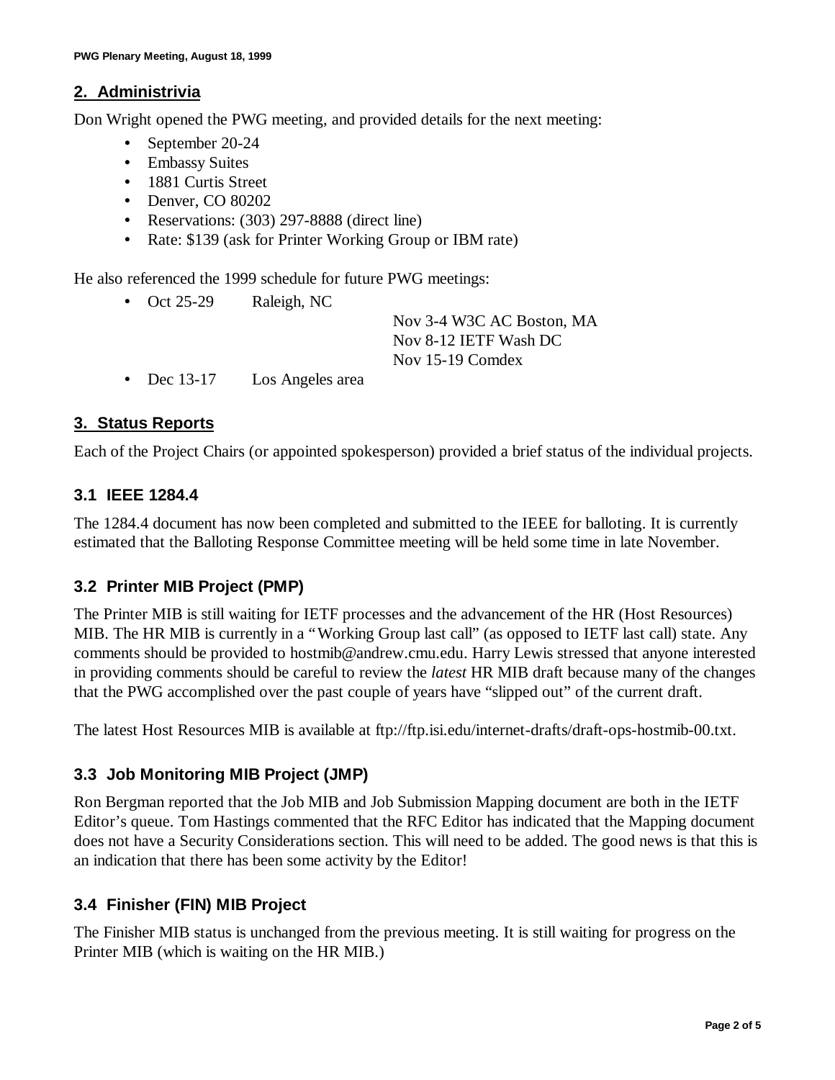#### **2. Administrivia**

Don Wright opened the PWG meeting, and provided details for the next meeting:

- September 20-24
- Embassy Suites
- 1881 Curtis Street
- Denver, CO 80202
- Reservations: (303) 297-8888 (direct line)
- Rate: \$139 (ask for Printer Working Group or IBM rate)

He also referenced the 1999 schedule for future PWG meetings:

• Oct 25-29 Raleigh, NC

Nov 3-4 W3C AC Boston, MA Nov 8-12 IETF Wash DC Nov 15-19 Comdex

• Dec 13-17 Los Angeles area

## **3. Status Reports**

Each of the Project Chairs (or appointed spokesperson) provided a brief status of the individual projects.

#### **3.1 IEEE 1284.4**

The 1284.4 document has now been completed and submitted to the IEEE for balloting. It is currently estimated that the Balloting Response Committee meeting will be held some time in late November.

#### **3.2 Printer MIB Project (PMP)**

The Printer MIB is still waiting for IETF processes and the advancement of the HR (Host Resources) MIB. The HR MIB is currently in a "Working Group last call" (as opposed to IETF last call) state. Any comments should be provided to hostmib@andrew.cmu.edu. Harry Lewis stressed that anyone interested in providing comments should be careful to review the *latest* HR MIB draft because many of the changes that the PWG accomplished over the past couple of years have "slipped out" of the current draft.

The latest Host Resources MIB is available at ftp://ftp.isi.edu/internet-drafts/draft-ops-hostmib-00.txt.

## **3.3 Job Monitoring MIB Project (JMP)**

Ron Bergman reported that the Job MIB and Job Submission Mapping document are both in the IETF Editor's queue. Tom Hastings commented that the RFC Editor has indicated that the Mapping document does not have a Security Considerations section. This will need to be added. The good news is that this is an indication that there has been some activity by the Editor!

## **3.4 Finisher (FIN) MIB Project**

The Finisher MIB status is unchanged from the previous meeting. It is still waiting for progress on the Printer MIB (which is waiting on the HR MIB.)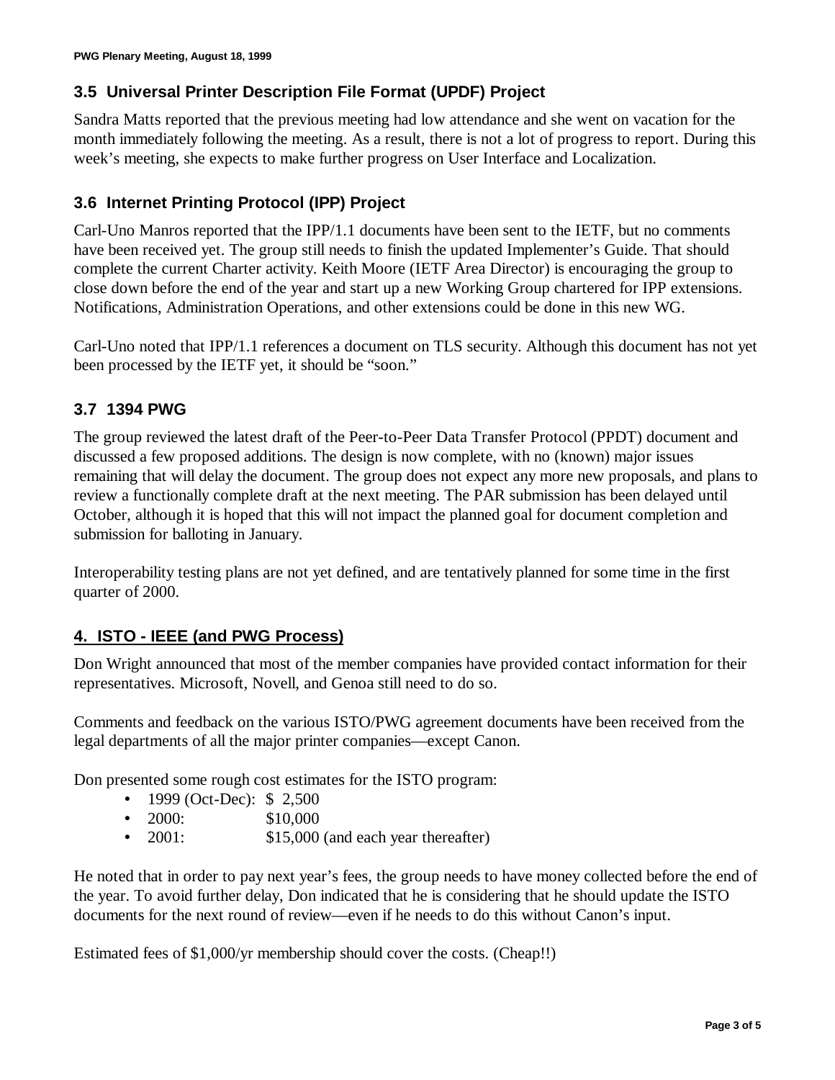#### **3.5 Universal Printer Description File Format (UPDF) Project**

Sandra Matts reported that the previous meeting had low attendance and she went on vacation for the month immediately following the meeting. As a result, there is not a lot of progress to report. During this week's meeting, she expects to make further progress on User Interface and Localization.

#### **3.6 Internet Printing Protocol (IPP) Project**

Carl-Uno Manros reported that the IPP/1.1 documents have been sent to the IETF, but no comments have been received yet. The group still needs to finish the updated Implementer's Guide. That should complete the current Charter activity. Keith Moore (IETF Area Director) is encouraging the group to close down before the end of the year and start up a new Working Group chartered for IPP extensions. Notifications, Administration Operations, and other extensions could be done in this new WG.

Carl-Uno noted that IPP/1.1 references a document on TLS security. Although this document has not yet been processed by the IETF yet, it should be "soon."

#### **3.7 1394 PWG**

The group reviewed the latest draft of the Peer-to-Peer Data Transfer Protocol (PPDT) document and discussed a few proposed additions. The design is now complete, with no (known) major issues remaining that will delay the document. The group does not expect any more new proposals, and plans to review a functionally complete draft at the next meeting. The PAR submission has been delayed until October, although it is hoped that this will not impact the planned goal for document completion and submission for balloting in January.

Interoperability testing plans are not yet defined, and are tentatively planned for some time in the first quarter of 2000.

## **4. ISTO - IEEE (and PWG Process)**

Don Wright announced that most of the member companies have provided contact information for their representatives. Microsoft, Novell, and Genoa still need to do so.

Comments and feedback on the various ISTO/PWG agreement documents have been received from the legal departments of all the major printer companies— except Canon.

Don presented some rough cost estimates for the ISTO program:

- 1999 (Oct-Dec): \$2,500
- $2000:$  \$10,000
- 2001: \$15,000 (and each year thereafter)

He noted that in order to pay next year's fees, the group needs to have money collected before the end of the year. To avoid further delay, Don indicated that he is considering that he should update the ISTO documents for the next round of review— even if he needs to do this without Canon's input.

Estimated fees of \$1,000/yr membership should cover the costs. (Cheap!!)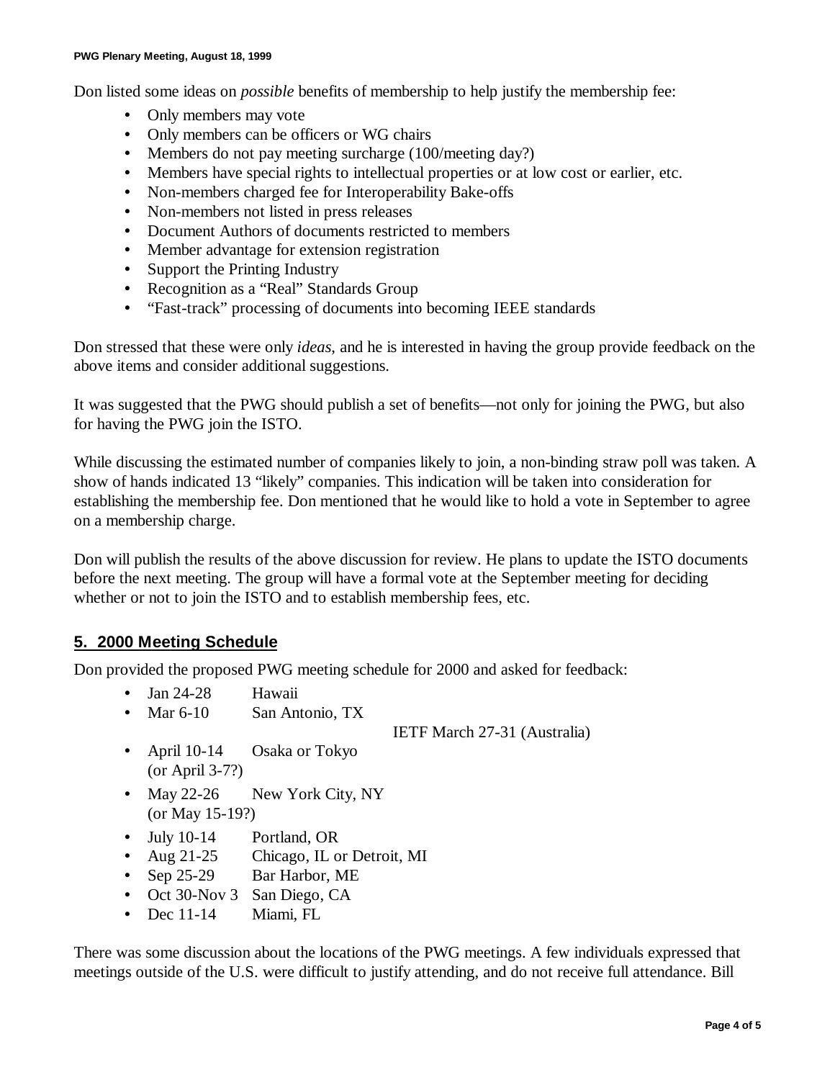Don listed some ideas on *possible* benefits of membership to help justify the membership fee:

- Only members may vote
- Only members can be officers or WG chairs
- Members do not pay meeting surcharge (100/meeting day?)
- Members have special rights to intellectual properties or at low cost or earlier, etc.
- Non-members charged fee for Interoperability Bake-offs
- Non-members not listed in press releases
- Document Authors of documents restricted to members
- Member advantage for extension registration
- Support the Printing Industry
- Recognition as a "Real" Standards Group
- "Fast-track" processing of documents into becoming IEEE standards

Don stressed that these were only *ideas*, and he is interested in having the group provide feedback on the above items and consider additional suggestions.

It was suggested that the PWG should publish a set of benefits— not only for joining the PWG, but also for having the PWG join the ISTO.

While discussing the estimated number of companies likely to join, a non-binding straw poll was taken. A show of hands indicated 13 "likely" companies. This indication will be taken into consideration for establishing the membership fee. Don mentioned that he would like to hold a vote in September to agree on a membership charge.

Don will publish the results of the above discussion for review. He plans to update the ISTO documents before the next meeting. The group will have a formal vote at the September meeting for deciding whether or not to join the ISTO and to establish membership fees, etc.

#### **5. 2000 Meeting Schedule**

Don provided the proposed PWG meeting schedule for 2000 and asked for feedback:

- Jan 24-28 Hawaii
- Mar 6-10 San Antonio, TX

IETF March 27-31 (Australia)

- April 10-14 Osaka or Tokyo (or April 3-7?)
- May 22-26 New York City, NY (or May 15-19?)
- July 10-14 Portland, OR
- Aug 21-25 Chicago, IL or Detroit, MI
- Sep 25-29 Bar Harbor, ME
- Oct 30-Nov 3 San Diego, CA
- Dec 11-14 Miami, FL

There was some discussion about the locations of the PWG meetings. A few individuals expressed that meetings outside of the U.S. were difficult to justify attending, and do not receive full attendance. Bill